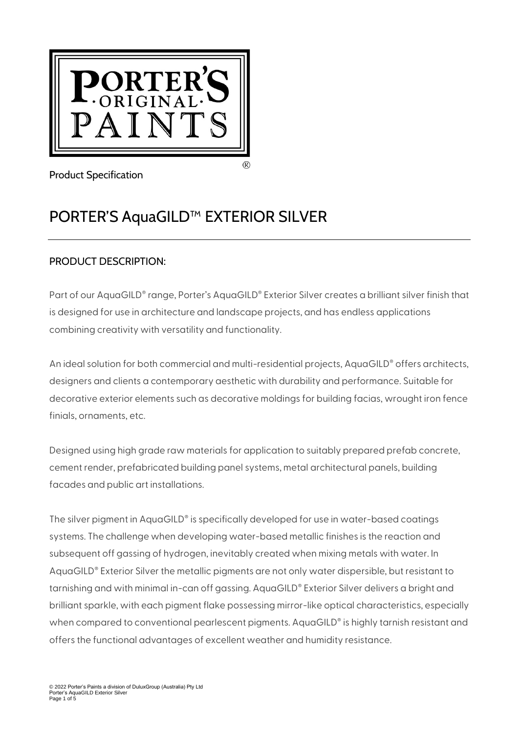

 $(R)$ 

Product Specification

# PORTER'S AquaGILD™ EXTERIOR SILVER

# PRODUCT DESCRIPTION:

Part of our AquaGILD® range, Porter's AquaGILD® Exterior Silver creates a brilliant silver finish that is designed for use in architecture and landscape projects, and has endless applications combining creativity with versatility and functionality.

An ideal solution for both commercial and multi-residential projects, AquaGILD<sup>®</sup> offers architects, designers and clients a contemporary aesthetic with durability and performance. Suitable for decorative exterior elements such as decorative moldings for building facias, wrought iron fence finials, ornaments, etc.

Designed using high grade raw materials for application to suitably prepared prefab concrete, cement render, prefabricated building panel systems, metal architectural panels, building facades and public art installations.

The silver pigment in AquaGILD® is specifically developed for use in water-based coatings systems. The challenge when developing water-based metallic finishes is the reaction and subsequent off gassing of hydrogen, inevitably created when mixing metals with water. In AquaGILD® Exterior Silver the metallic pigments are not only water dispersible, but resistant to tarnishing and with minimal in-can off gassing. AquaGILD® Exterior Silver delivers a bright and brilliant sparkle, with each pigment flake possessing mirror-like optical characteristics, especially when compared to conventional pearlescent pigments. AquaGILD® is highly tarnish resistant and offers the functional advantages of excellent weather and humidity resistance.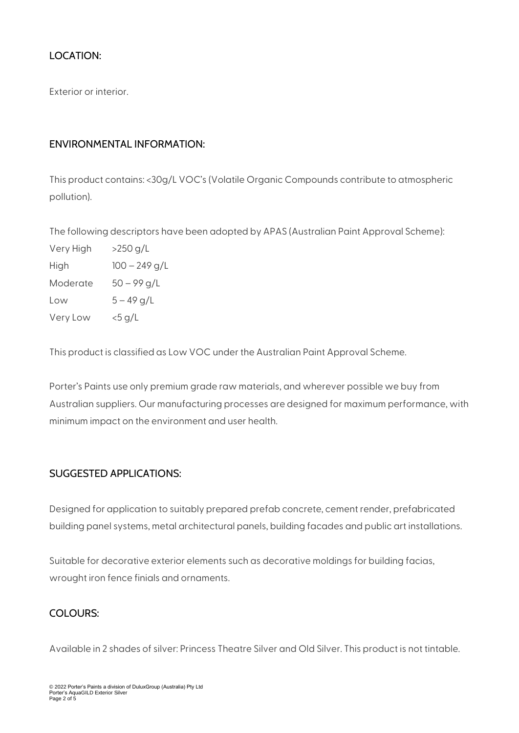# LOCATION:

Exterior or interior.

## ENVIRONMENTAL INFORMATION:

This product contains: <30g/L VOC's (Volatile Organic Compounds contribute to atmospheric pollution).

The following descriptors have been adopted by APAS (Australian Paint Approval Scheme):

Very High >250 g/L High 100 – 249 g/L Moderate 50 – 99 g/L Low  $5 - 49$  g/L Very Low <5 g/L

This product is classified as Low VOC under the Australian Paint Approval Scheme.

Porter's Paints use only premium grade raw materials, and wherever possible we buy from Australian suppliers. Our manufacturing processes are designed for maximum performance, with minimum impact on the environment and user health.

# SUGGESTED APPLICATIONS:

Designed for application to suitably prepared prefab concrete, cement render, prefabricated building panel systems, metal architectural panels, building facades and public art installations.

Suitable for decorative exterior elements such as decorative moldings for building facias, wrought iron fence finials and ornaments.

# COLOURS:

Available in 2 shades of silver: Princess Theatre Silver and Old Silver. This product is not tintable.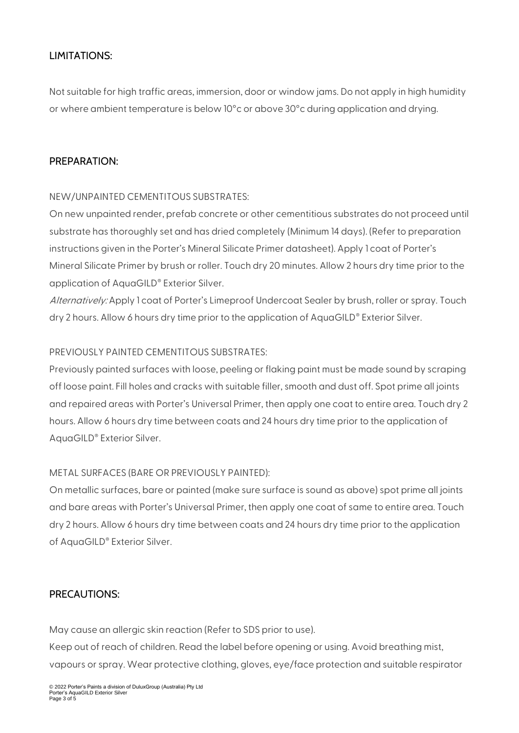## LIMITATIONS:

Not suitable for high traffic areas, immersion, door or window jams. Do not apply in high humidity or where ambient temperature is below 10°c or above 30°c during application and drying.

#### PREPARATION:

#### NEW/UNPAINTED CEMENTITOUS SUBSTRATES:

On new unpainted render, prefab concrete or other cementitious substrates do not proceed until substrate has thoroughly set and has dried completely (Minimum 14 days). (Refer to preparation instructions given in the Porter's Mineral Silicate Primer datasheet). Apply 1 coat of Porter's Mineral Silicate Primer by brush or roller. Touch dry 20 minutes. Allow 2 hours dry time prior to the application of AquaGILD® Exterior Silver.

Alternatively: Apply 1 coat of Porter's Limeproof Undercoat Sealer by brush, roller or spray. Touch dry 2 hours. Allow 6 hours dry time prior to the application of AquaGILD® Exterior Silver.

#### PREVIOUSLY PAINTED CEMENTITOUS SUBSTRATES:

Previously painted surfaces with loose, peeling or flaking paint must be made sound by scraping off loose paint. Fill holes and cracks with suitable filler, smooth and dust off. Spot prime all joints and repaired areas with Porter's Universal Primer, then apply one coat to entire area. Touch dry 2 hours. Allow 6 hours dry time between coats and 24 hours dry time prior to the application of AquaGILD® Exterior Silver.

## METAL SURFACES (BARE OR PREVIOUSLY PAINTED):

On metallic surfaces, bare or painted (make sure surface is sound as above) spot prime all joints and bare areas with Porter's Universal Primer, then apply one coat of same to entire area. Touch dry 2 hours. Allow 6 hours dry time between coats and 24 hours dry time prior to the application of AquaGILD® Exterior Silver.

## PRECAUTIONS:

May cause an allergic skin reaction (Refer to SDS prior to use).

Keep out of reach of children. Read the label before opening or using. Avoid breathing mist, vapours or spray. Wear protective clothing, gloves, eye/face protection and suitable respirator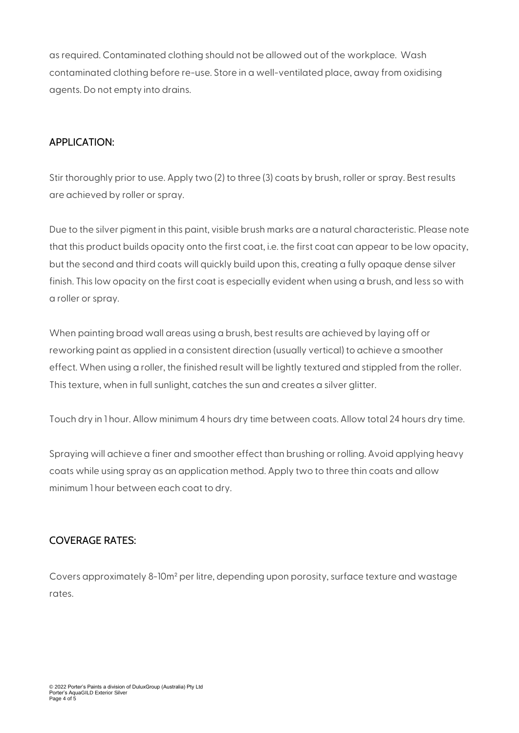as required. Contaminated clothing should not be allowed out of the workplace. Wash contaminated clothing before re-use. Store in a well-ventilated place, away from oxidising agents. Do not empty into drains.

# APPLICATION:

Stir thoroughly prior to use. Apply two (2) to three (3) coats by brush, roller or spray. Best results are achieved by roller or spray.

Due to the silver pigment in this paint, visible brush marks are a natural characteristic. Please note that this product builds opacity onto the first coat, i.e. the first coat can appear to be low opacity, but the second and third coats will quickly build upon this, creating a fully opaque dense silver finish. This low opacity on the first coat is especially evident when using a brush, and less so with a roller or spray.

When painting broad wall areas using a brush, best results are achieved by laying off or reworking paint as applied in a consistent direction (usually vertical) to achieve a smoother effect. When using a roller, the finished result will be lightly textured and stippled from the roller. This texture, when in full sunlight, catches the sun and creates a silver glitter.

Touch dry in 1 hour. Allow minimum 4 hours dry time between coats. Allow total 24 hours dry time.

Spraying will achieve a finer and smoother effect than brushing or rolling. Avoid applying heavy coats while using spray as an application method. Apply two to three thin coats and allow minimum 1 hour between each coat to dry.

# COVERAGE RATES:

Covers approximately 8-10m² per litre, depending upon porosity, surface texture and wastage rates.